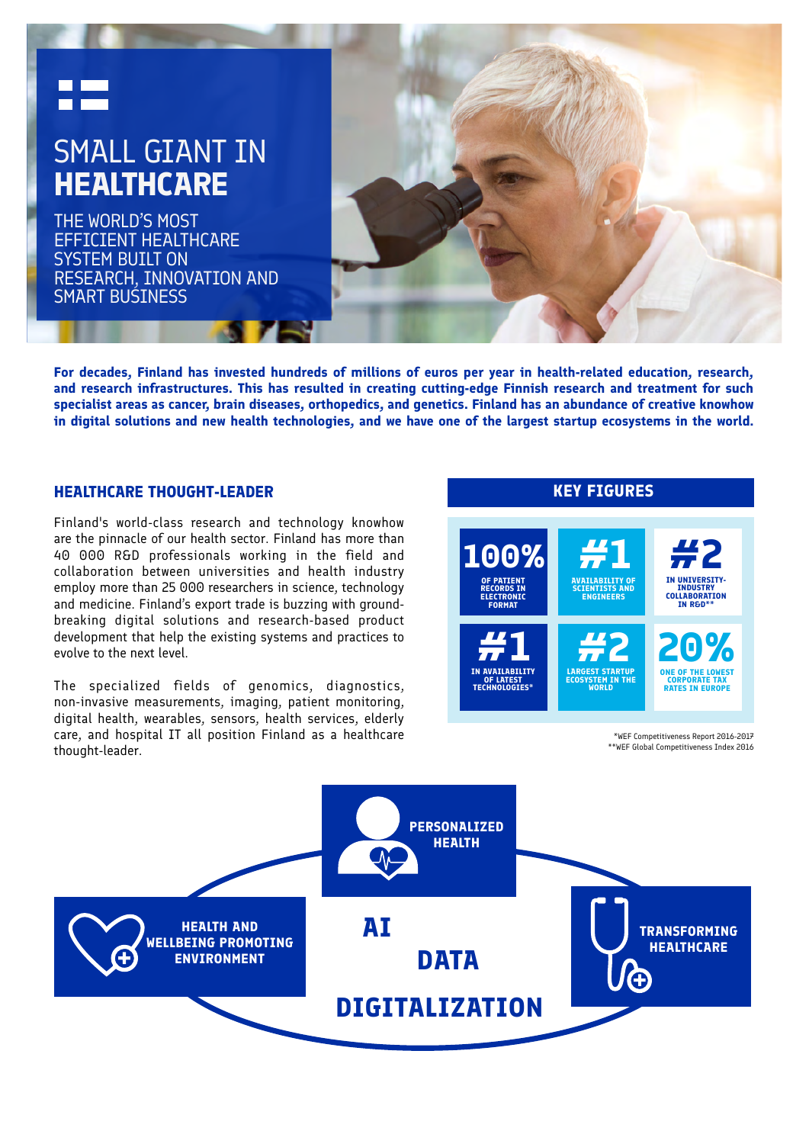

**For decades, Finland has invested hundreds of millions of euros per year in health-related education, research, and research infrastructures. This has resulted in creating cutting-edge Finnish research and treatment for such specialist areas as cancer, brain diseases, orthopedics, and genetics. Finland has an abundance of creative knowhow in digital solutions and new health technologies, and we have one of the largest startup ecosystems in the world.**

Finland's world-class research and technology knowhow are the pinnacle of our health sector. Finland has more than 40 000 R&D professionals working in the field and collaboration between universities and health industry employ more than 25 000 researchers in science, technology and medicine. Finland's export trade is buzzing with groundbreaking digital solutions and research-based product development that help the existing systems and practices to evolve to the next level.

The specialized fields of genomics, diagnostics, non-invasive measurements, imaging, patient monitoring, digital health, wearables, sensors, health services, elderly care, and hospital IT all position Finland as a healthcare thought-leader.



\*WEF Competitiveness Report 2016-2017 \*\*WEF Global Competitiveness Index 2016